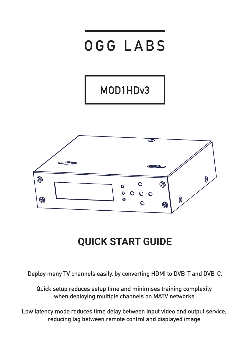

# **QUICK START GUIDE**

**Deploy many TV channels easily, by converting HDMI to DVB-T and DVB-C.**

**Quick setup reduces setup time and minimises training complexity when deploying multiple channels on MATV networks.**

**Low latency mode reduces time delay between input video and output service, reducing lag between remote control and displayed image.**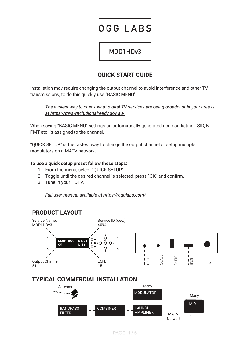# OGG LABS

# MOD1HDv3

# **OUICK START GUIDE**

Installation may require changing the output channel to avoid interference and other TV transmissions, to do this quickly use "BASIC MENU".

*The easiest way to check what digital TV services are being broadcast in your area is at https://myswitch.digitalready.gov.au/* 

When saving "BASIC MENU" settings an automatically generated non-conflicting TSID, NIT, PMT etc. is assigned to the channel.

"QUICK SETUP" is the fastest way to change the output channel or setup multiple modulators on a MATV network.

## **To use a quick setup preset follow these steps:**

- 1. From the menu, select "QUICK SETUP".
- 2. Toggle until the desired channel is selected, press "OK" and confirm.
- 3. Tune in your HDTV.

*Full user manual available at https://ogglabs.com/* 

# **PRODUCT LAYOUT**



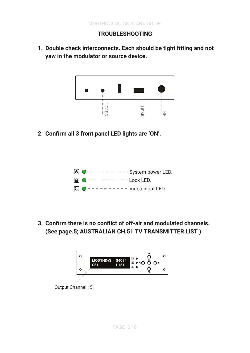# **TROUBLESHOOTING**

1. Double check interconnects. Each should be tight fitting and not **yaw in the modulator or source device.** 



**2. ConƤrm all 3 front panel LED lights are 'ON'.** 



**3. ConƤrm there is no conƥict of off-air and modulated channels. (See page.5; AUSTRALIAN CH.51 TV TRANSMITTER LIST )** 

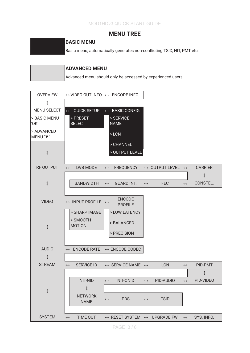## **MENU TREE**

## **BASIC MENU**

Basic menu, automatically generates non-conflicting TSID, NIT, PMT etc.

| <b>ADVANCED MENU</b>                                        |
|-------------------------------------------------------------|
| Advanced menu should only be accessed by experienced users. |

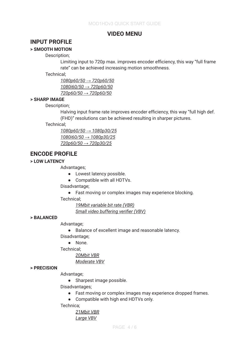## **VIDEO MENU**

## **INPUT PROFILE**

## **> SMOOTH MOTION**

Description;

Limiting input to 720p max. improves encoder efficiency, this way "full frame rate" can be achieved increasing motion smoothness.

Technical;

*1080p60/50 ĺ 720p60/50 1080i60/50 ĺ 720p60/50 720p60/50 ĺ 720p60/50* 

#### **> SHARP IMAGE**

Description;

Halving input frame rate improves encoder efficiency, this way "full high def. (FHD)" resolutions can be achieved resulting in sharper pictures.

#### Technical;

*1080p60/50 ĺ 1080p30/25 1080i60/50 ĺ 1080p30/25 720p60/50 ĺ 720p30/25* 

## **ENCODE PROFILE**

## **> LOW LATENCY**

Advantages;

• Lowest latency possible.

Ɣ Compatible with all HDTVs.

Disadvantage:

• Fast moving or complex images may experience blocking.

Technical;

*19Mbit variable bit rate (VBR) Small video buffering verifier (VBV)* 

#### **> BALANCED**

Advantage;

Ɣ Balance of excellent image and reasonable latency. Disadvantage;

• None.

Technical;

*20Mbit VBR* 

*Moderate VBV* 

#### **> PRECISION**

Advantage:

• Sharpest image possible.

Disadvantages;

• Fast moving or complex images may experience dropped frames.

Ɣ Compatible with high end HDTVs only.

Technica;

*21Mbit VBR Large VBV Ʌ Ʌ*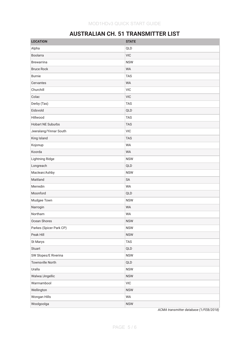# **AUSTRALIAN CH. 51 TRANSMITTER LIST**

| <b>LOCATION</b>          | <b>STATE</b> |
|--------------------------|--------------|
| Alpha                    | QLD          |
| Boolarra                 | <b>VIC</b>   |
| <b>Brewarrina</b>        | <b>NSW</b>   |
| <b>Bruce Rock</b>        | <b>WA</b>    |
| <b>Burnie</b>            | <b>TAS</b>   |
| Cervantes                | <b>WA</b>    |
| Churchill                | <b>VIC</b>   |
| Colac                    | <b>VIC</b>   |
| Derby (Tas)              | <b>TAS</b>   |
| Eidsvold                 | QLD          |
| Hillwood                 | <b>TAS</b>   |
| <b>Hobart NE Suburbs</b> | <b>TAS</b>   |
| Jeeralang/Yinnar South   | <b>VIC</b>   |
| King Island              | <b>TAS</b>   |
| Kojonup                  | <b>WA</b>    |
| Koorda                   | <b>WA</b>    |
| Lightning Ridge          | <b>NSW</b>   |
| Longreach                | QLD          |
| Maclean/Ashby            | <b>NSW</b>   |
| Maitland                 | SA           |
| Merredin                 | <b>WA</b>    |
| Moonford                 | QLD          |
| Mudgee Town              | <b>NSW</b>   |
| Narrogin                 | <b>WA</b>    |
| Northam                  | <b>WA</b>    |
| Ocean Shores             | <b>NSW</b>   |
| Parkes (Spicer Park CP)  | <b>NSW</b>   |
| Peak Hill                | <b>NSW</b>   |
| St Marys                 | <b>TAS</b>   |
| Stuart                   | QLD          |
| SW Slopes/E Riverina     | <b>NSW</b>   |
| <b>Townsville North</b>  | QLD          |
| Uralla                   | <b>NSW</b>   |
| Walwa/Jingellic          | <b>NSW</b>   |
| Warrnambool              | VIC          |
| Wellington               | <b>NSW</b>   |
| Wongan Hills             | WA           |
| Woolgoolga               | <b>NSW</b>   |

*ACMA transmitter database (1/FEB/2018)*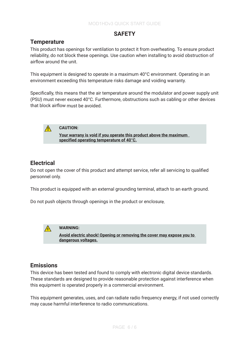# **SAFETY**

## **Temperature**

This product has openings for ventilation to protect it from overheating. To ensure product reliability, do not block these openings. Use caution when installing to avoid obstruction of airflow around the unit.

This equipment is designed to operate in a maximum 40°C environment. Operating in an environment exceeding this temperature risks damage and voiding warranty.

Specifically, this means that the air temperature around the modulator and power supply unit (PSU) must never exceed 40°C. Furthermore, obstructions such as cabling or other devices that block airflow must be avoided.



### **CAUTION:**

**Your warrany is void if you operate this product above the maximum specified operating temperature of 40°C.**

## **Electrical**

Do not open the cover of this product and attempt service, refer all servicing to qualified personnel only.

This product is equipped with an external grounding terminal, attach to an earth ground.

Do not push objects through openings in the product or enclosure.



### **WARNING:**

**Avoid electric shock! Opening or removing the cover may expose you to dangerous voltages.**

## **Emissions**

This device has been tested and found to comply with electronic digital device standards. These standards are designed to provide reasonable protection against interference when this equipment is operated properly in a commercial environment.

This equipment generates, uses, and can radiate radio frequency energy, if not used correctly may cause harmful interference to radio communications.